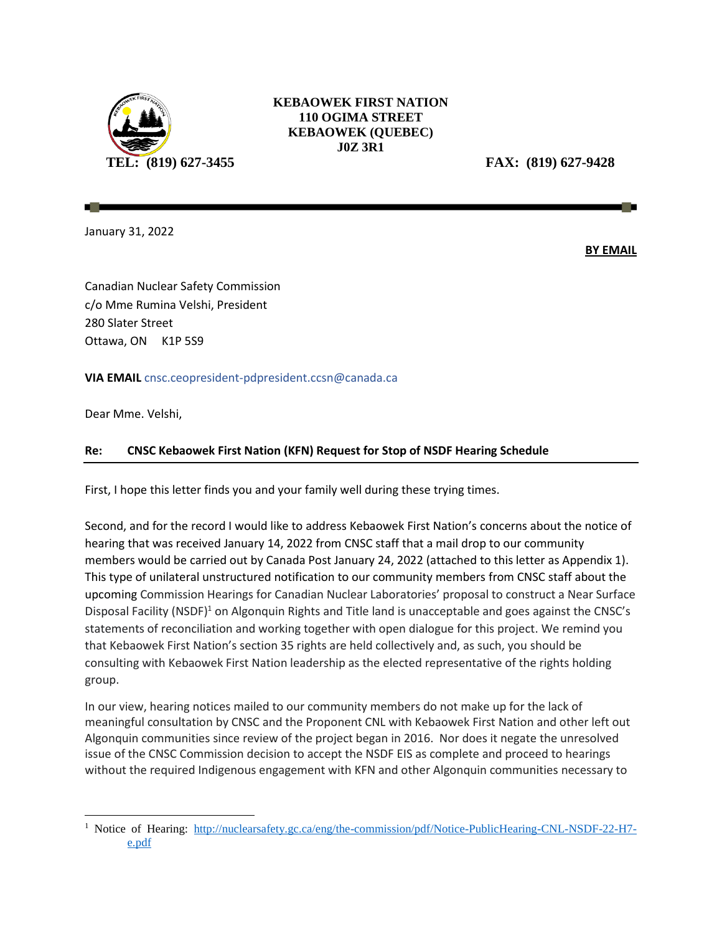

## **KEBAOWEK FIRST NATION 110 OGIMA STREET KEBAOWEK (QUEBEC) J0Z 3R1**

**TEL: (819) 627-3455 FAX: (819) 627-9428**

January 31, 2022

**BY EMAIL**

Canadian Nuclear Safety Commission c/o Mme Rumina Velshi, President 280 Slater Street Ottawa, ON K1P 5S9

## **VIA EMAIL** [cnsc.ceopresident-pdpresident.ccsn@canada.ca](mailto:cnsc.ceopresident-pdpresident.ccsn@canada.ca)

Dear Mme. Velshi,

 $\overline{\phantom{a}}$ 

## **Re: CNSC Kebaowek First Nation (KFN) Request for Stop of NSDF Hearing Schedule**

First, I hope this letter finds you and your family well during these trying times.

Second, and for the record I would like to address Kebaowek First Nation's concerns about the notice of hearing that was received January 14, 2022 from CNSC staff that a mail drop to our community members would be carried out by Canada Post January 24, 2022 (attached to this letter as Appendix 1). This type of unilateral unstructured notification to our community members from CNSC staff about the upcoming Commission Hearings for Canadian Nuclear Laboratories' proposal to construct a Near Surface Disposal Facility (NSDF)<sup>1</sup> on Algonquin Rights and Title land is unacceptable and goes against the CNSC's statements of reconciliation and working together with open dialogue for this project. We remind you that Kebaowek First Nation's section 35 rights are held collectively and, as such, you should be consulting with Kebaowek First Nation leadership as the elected representative of the rights holding group.

In our view, hearing notices mailed to our community members do not make up for the lack of meaningful consultation by CNSC and the Proponent CNL with Kebaowek First Nation and other left out Algonquin communities since review of the project began in 2016. Nor does it negate the unresolved issue of the CNSC Commission decision to accept the NSDF EIS as complete and proceed to hearings without the required Indigenous engagement with KFN and other Algonquin communities necessary to

<sup>&</sup>lt;sup>1</sup> Notice of Hearing: [http://nuclearsafety.gc.ca/eng/the-commission/pdf/Notice-PublicHearing-CNL-NSDF-22-H7](http://nuclearsafety.gc.ca/eng/the-commission/pdf/Notice-PublicHearing-CNL-NSDF-22-H7-e.pdf) [e.pdf](http://nuclearsafety.gc.ca/eng/the-commission/pdf/Notice-PublicHearing-CNL-NSDF-22-H7-e.pdf)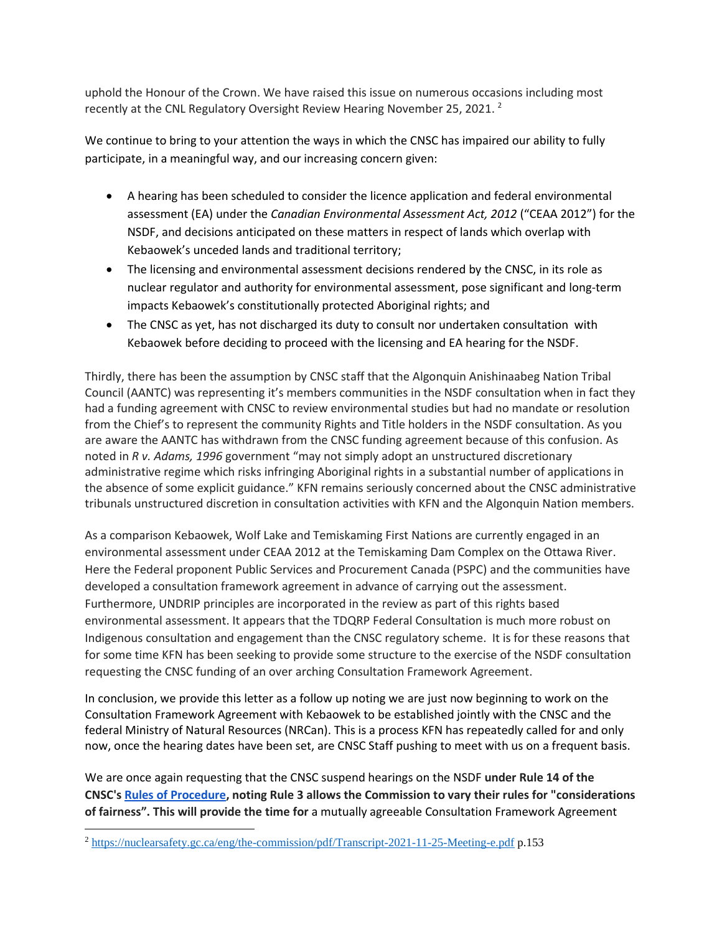uphold the Honour of the Crown. We have raised this issue on numerous occasions including most recently at the CNL Regulatory Oversight Review Hearing November 25, 2021.  $^2$ 

We continue to bring to your attention the ways in which the CNSC has impaired our ability to fully participate, in a meaningful way, and our increasing concern given:

- A hearing has been scheduled to consider the licence application and federal environmental assessment (EA) under the *Canadian Environmental Assessment Act, 2012* ("CEAA 2012") for the NSDF, and decisions anticipated on these matters in respect of lands which overlap with Kebaowek's unceded lands and traditional territory;
- The licensing and environmental assessment decisions rendered by the CNSC, in its role as nuclear regulator and authority for environmental assessment, pose significant and long-term impacts Kebaowek's constitutionally protected Aboriginal rights; and
- The CNSC as yet, has not discharged its duty to consult nor undertaken consultation with Kebaowek before deciding to proceed with the licensing and EA hearing for the NSDF.

Thirdly, there has been the assumption by CNSC staff that the Algonquin Anishinaabeg Nation Tribal Council (AANTC) was representing it's members communities in the NSDF consultation when in fact they had a funding agreement with CNSC to review environmental studies but had no mandate or resolution from the Chief's to represent the community Rights and Title holders in the NSDF consultation. As you are aware the AANTC has withdrawn from the CNSC funding agreement because of this confusion. As noted in *R v. Adams, 1996* government "may not simply adopt an unstructured discretionary administrative regime which risks infringing Aboriginal rights in a substantial number of applications in the absence of some explicit guidance." KFN remains seriously concerned about the CNSC administrative tribunals unstructured discretion in consultation activities with KFN and the Algonquin Nation members.

As a comparison Kebaowek, Wolf Lake and Temiskaming First Nations are currently engaged in an environmental assessment under CEAA 2012 at the Temiskaming Dam Complex on the Ottawa River. Here the Federal proponent Public Services and Procurement Canada (PSPC) and the communities have developed a consultation framework agreement in advance of carrying out the assessment. Furthermore, UNDRIP principles are incorporated in the review as part of this rights based environmental assessment. It appears that the TDQRP Federal Consultation is much more robust on Indigenous consultation and engagement than the CNSC regulatory scheme. It is for these reasons that for some time KFN has been seeking to provide some structure to the exercise of the NSDF consultation requesting the CNSC funding of an over arching Consultation Framework Agreement.

In conclusion, we provide this letter as a follow up noting we are just now beginning to work on the Consultation Framework Agreement with Kebaowek to be established jointly with the CNSC and the federal Ministry of Natural Resources (NRCan). This is a process KFN has repeatedly called for and only now, once the hearing dates have been set, are CNSC Staff pushing to meet with us on a frequent basis.

We are once again requesting that the CNSC suspend hearings on the NSDF **under Rule 14 of the CNSC's [Rules of Procedure,](https://laws-lois.justice.gc.ca/eng/regulations/sor-2000-211/page-1.html) noting Rule 3 allows the Commission to vary their rules for "considerations of fairness". This will provide the time for** a mutually agreeable Consultation Framework Agreement

 $\overline{\phantom{a}}$ 

<sup>2</sup> <https://nuclearsafety.gc.ca/eng/the-commission/pdf/Transcript-2021-11-25-Meeting-e.pdf> p.153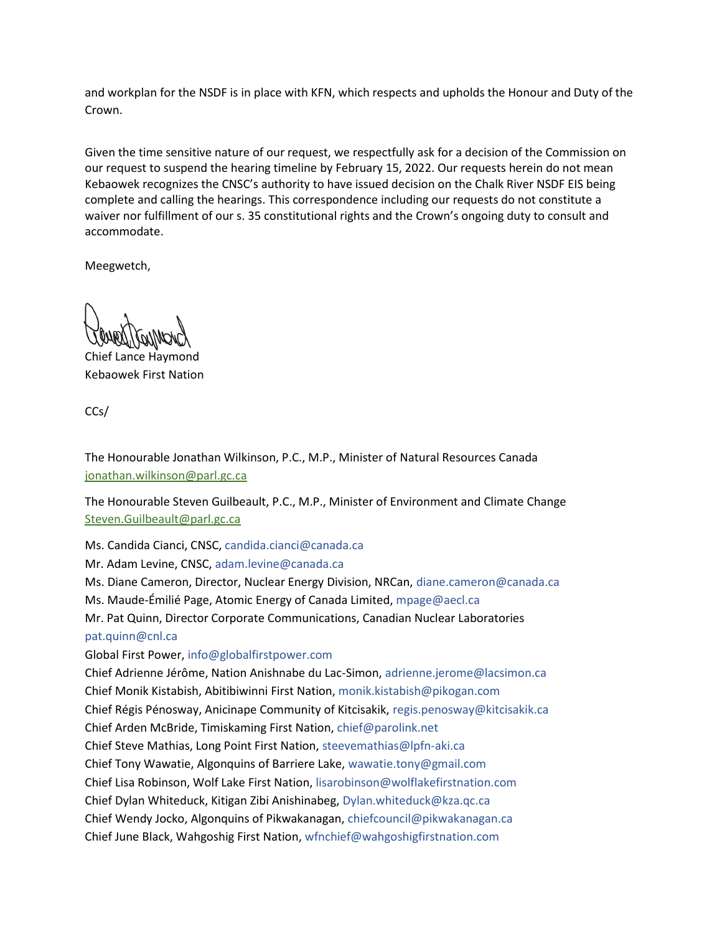and workplan for the NSDF is in place with KFN, which respects and upholds the Honour and Duty of the Crown.

Given the time sensitive nature of our request, we respectfully ask for a decision of the Commission on our request to suspend the hearing timeline by February 15, 2022. Our requests herein do not mean Kebaowek recognizes the CNSC's authority to have issued decision on the Chalk River NSDF EIS being complete and calling the hearings. This correspondence including our requests do not constitute a waiver nor fulfillment of our s. 35 constitutional rights and the Crown's ongoing duty to consult and accommodate.

Meegwetch,

Chief Lance Haymond Kebaowek First Nation

CCs/

The Honourable Jonathan Wilkinson, P.C., M.P., Minister of Natural Resources Canada [jonathan.wilkinson@parl.gc.ca](mailto:jonathan.wilkinson@parl.gc.ca)

The Honourable Steven Guilbeault, P.C., M.P., Minister of Environment and Climate Change [Steven.Guilbeault@parl.gc.ca](mailto:Steven.Guilbeault@parl.gc.ca)

Ms. Candida Cianci, CNSC[, candida.cianci@canada.ca](mailto:candida.cianci@canada.ca)

Mr. Adam Levine, CNSC[, adam.levine@canada.ca](mailto:adam.levine@canada.ca)

Ms. Diane Cameron, Director, Nuclear Energy Division, NRCan, [diane.cameron@canada.ca](mailto:diane.cameron@canada.ca)

Ms. Maude-Émilié Page, Atomic Energy of Canada Limited, [mpage@aecl.ca](mailto:mpage@aecl.ca)

Mr. Pat Quinn, Director Corporate Communications, Canadian Nuclear Laboratories [pat.quinn@cnl.ca](mailto:pat.quinn@cnl.ca)

Global First Power, [info@globalfirstpower.com](mailto:info@globalfirstpower.com)

Chief Adrienne Jérôme, Nation Anishnabe du Lac-Simon[, adrienne.jerome@lacsimon.ca](mailto:adrienne.jerome@lacsimon.ca) Chief Monik Kistabish, Abitibiwinni First Nation, [monik.kistabish@pikogan.com](mailto:monik.kistabish@pikogan.com) Chief Régis Pénosway, Anicinape Community of Kitcisakik, [regis.penosway@kitcisakik.ca](mailto:regis.penosway@kitcisakik.ca) Chief Arden McBride, Timiskaming First Nation, [chief@parolink.net](mailto:chief@parolink.net) Chief Steve Mathias, Long Point First Nation, [steevemathias@lpfn-aki.ca](mailto:steevemathias@lpfn-aki.ca) Chief Tony Wawatie, Algonquins of Barriere Lake, wawatie.tony@gmail.com Chief Lisa Robinson, Wolf Lake First Nation, [lisarobinson@wolflakefirstnation.com](mailto:lisarobinson@wolflakefirstnation.com) Chief Dylan Whiteduck, Kitigan Zibi Anishinabeg[, Dylan.whiteduck@kza.qc.ca](mailto:Dylan.whiteduck@kza.qc.ca) Chief Wendy Jocko, Algonquins of Pikwakanagan, [chiefcouncil@pikwakanagan.ca](mailto:chiefcouncil@pikwakanagan.ca) Chief June Black, Wahgoshig First Nation[, wfnchief@wahgoshigfirstnation.com](mailto:wfnchief@wahgoshigfirstnation.com)